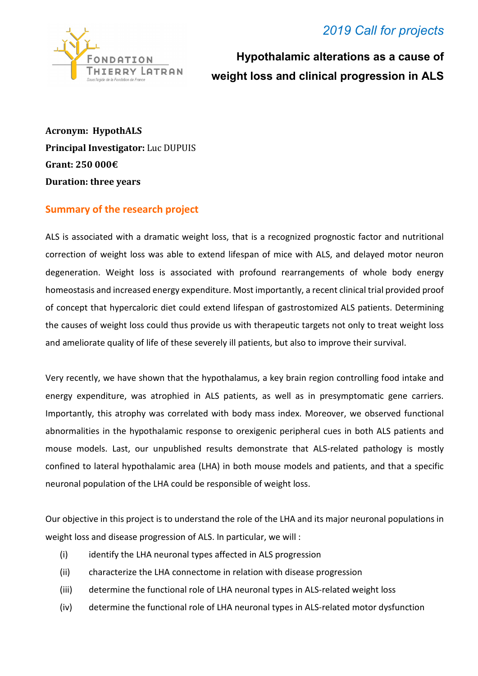## *2019 Call for projects*



 **Hypothalamic alterations as a cause of weight loss and clinical progression in ALS** 

**Acronym: HypothALS Principal Investigator:** Luc DUPUIS **Grant: 250 000€ Duration: three years**

## **Summary of the research project**

ALS is associated with a dramatic weight loss, that is a recognized prognostic factor and nutritional correction of weight loss was able to extend lifespan of mice with ALS, and delayed motor neuron degeneration. Weight loss is associated with profound rearrangements of whole body energy homeostasis and increased energy expenditure. Most importantly, a recent clinical trial provided proof of concept that hypercaloric diet could extend lifespan of gastrostomized ALS patients. Determining the causes of weight loss could thus provide us with therapeutic targets not only to treat weight loss and ameliorate quality of life of these severely ill patients, but also to improve their survival.

Very recently, we have shown that the hypothalamus, a key brain region controlling food intake and energy expenditure, was atrophied in ALS patients, as well as in presymptomatic gene carriers. Importantly, this atrophy was correlated with body mass index. Moreover, we observed functional abnormalities in the hypothalamic response to orexigenic peripheral cues in both ALS patients and mouse models. Last, our unpublished results demonstrate that ALS-related pathology is mostly confined to lateral hypothalamic area (LHA) in both mouse models and patients, and that a specific neuronal population of the LHA could be responsible of weight loss.

Our objective in this project is to understand the role of the LHA and its major neuronal populations in weight loss and disease progression of ALS. In particular, we will :

- (i) identify the LHA neuronal types affected in ALS progression
- (ii) characterize the LHA connectome in relation with disease progression
- (iii) determine the functional role of LHA neuronal types in ALS-related weight loss
- (iv) determine the functional role of LHA neuronal types in ALS-related motor dysfunction